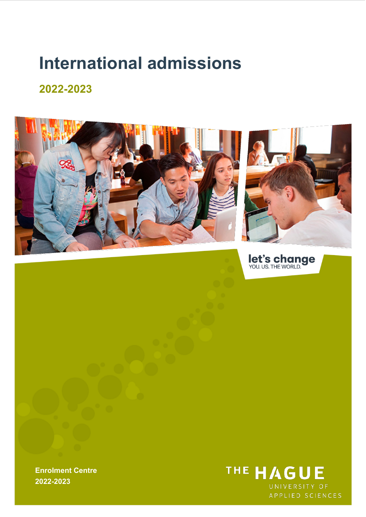# **International admissions**

## **2022-2023**



let's change

**Enrolment Centre 2022-2023**

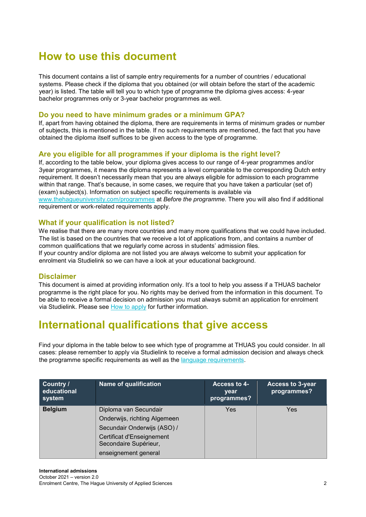# **How to use this document**

This document contains a list of sample entry requirements for a number of countries / educational systems. Please check if the diploma that you obtained (or will obtain before the start of the academic year) is listed. The table will tell you to which type of programme the diploma gives access: 4-year bachelor programmes only or 3-year bachelor programmes as well.

### **Do you need to have minimum grades or a minimum GPA?**

If, apart from having obtained the diploma, there are requirements in terms of minimum grades or number of subjects, this is mentioned in the table. If no such requirements are mentioned, the fact that you have obtained the diploma itself suffices to be given access to the type of programme.

### **Are you eligible for all programmes if your diploma is the right level?**

If, according to the table below, your diploma gives access to our range of 4-year programmes and/or 3year programmes, it means the diploma represents a level comparable to the corresponding Dutch entry requirement. It doesn't necessarily mean that you are always eligible for admission to each programme within that range. That's because, in some cases, we require that you have taken a particular (set of) (exam) subject(s). Information on subject specific requirements is available via [www.thehagueuniversity.com/programmes](http://www.thehagueuniversity.com/programmes) [a](http://www.thehagueuniversity.com/programmes)t *Before the programme*. There you will also find if additional requirement or work-related requirements apply.

### **What if your qualification is not listed?**

We realise that there are many more countries and many more qualifications that we could have included. The list is based on the countries that we receive a lot of applications from, and contains a number of common qualifications that we regularly come across in students' admission files. If your country and/or diploma are not listed you are always welcome to submit your application for

enrolment via Studielink so we can have a look at your educational background.

### **Disclaimer**

This document is aimed at providing information only. It's a tool to help you assess if a THUAS bachelor programme is the right place for you. No rights may be derived from the information in this document. To be able to receive a formal decision on admission you must always submit an application for enrolment via Studielink. Please see [How to apply](https://www.thehagueuniversity.com/study-choice/applications-finances-and-moving-here/applying/how-to-apply) [f](https://www.thehagueuniversity.com/study-choice/applications-finances-and-moving-here/applying/how-to-apply)or further information.

### **International qualifications that give access**

Find your diploma in the table below to see which type of programme at THUAS you could consider. In all cases: please remember to apply via Studielink to receive a formal admission decision and always check the programme specific requirements as well as the [language requirements.](https://www.thehagueuniversity.com/study-choice/applications-finances-and-moving-here/applying/entry-requirements)

| Country /<br>educational<br>system | <b>Name of qualification</b>                       | Access to 4-<br>year<br>programmes? | <b>Access to 3-year</b><br>programmes? |
|------------------------------------|----------------------------------------------------|-------------------------------------|----------------------------------------|
| <b>Belgium</b>                     | Diploma van Secundair                              | Yes                                 | Yes                                    |
|                                    | Onderwijs, richting Algemeen                       |                                     |                                        |
|                                    | Secundair Onderwijs (ASO) /                        |                                     |                                        |
|                                    | Certificat d'Enseignement<br>Secondaire Supérieur, |                                     |                                        |
|                                    | enseignement general                               |                                     |                                        |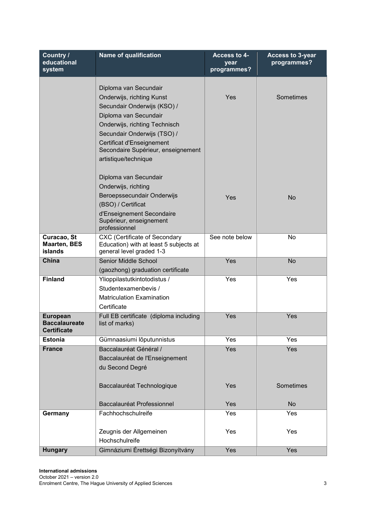| Country /<br>educational<br>system                            | <b>Name of qualification</b>                                          | Access to 4-<br>year<br>programmes? | <b>Access to 3-year</b><br>programmes? |
|---------------------------------------------------------------|-----------------------------------------------------------------------|-------------------------------------|----------------------------------------|
|                                                               | Diploma van Secundair                                                 |                                     |                                        |
|                                                               | Onderwijs, richting Kunst                                             | Yes                                 | Sometimes                              |
|                                                               | Secundair Onderwijs (KSO) /                                           |                                     |                                        |
|                                                               | Diploma van Secundair                                                 |                                     |                                        |
|                                                               | Onderwijs, richting Technisch                                         |                                     |                                        |
|                                                               | Secundair Onderwijs (TSO) /                                           |                                     |                                        |
|                                                               | Certificat d'Enseignement<br>Secondaire Supérieur, enseignement       |                                     |                                        |
|                                                               | artistique/technique                                                  |                                     |                                        |
|                                                               | Diploma van Secundair                                                 |                                     |                                        |
|                                                               | Onderwijs, richting                                                   |                                     |                                        |
|                                                               | Beroepssecundair Onderwijs                                            | Yes                                 | No                                     |
|                                                               | (BSO) / Certificat                                                    |                                     |                                        |
|                                                               | d'Enseignement Secondaire<br>Supérieur, enseignement<br>professionnel |                                     |                                        |
| Curacao, St                                                   | <b>CXC (Certificate of Secondary</b>                                  | See note below                      | No                                     |
| <b>Maarten, BES</b><br>islands                                | Education) with at least 5 subjects at<br>general level graded 1-3    |                                     |                                        |
| China                                                         | Senior Middle School                                                  | Yes                                 | <b>No</b>                              |
|                                                               | (gaozhong) graduation certificate                                     |                                     |                                        |
| <b>Finland</b>                                                | Ylioppilastutkintotodistus /                                          | Yes                                 | Yes                                    |
|                                                               | Studentexamenbevis /                                                  |                                     |                                        |
|                                                               | <b>Matriculation Examination</b>                                      |                                     |                                        |
|                                                               | Certificate                                                           | Yes                                 | Yes                                    |
| <b>European</b><br><b>Baccalaureate</b><br><b>Certificate</b> | Full EB certificate (diploma including<br>list of marks)              |                                     |                                        |
| <b>Estonia</b>                                                | Gümnaasiumi lõputunnistus                                             | Yes                                 | Yes                                    |
| <b>France</b>                                                 | Baccalauréat Général /                                                | Yes                                 | Yes                                    |
|                                                               | Baccalauréat de l'Enseignement                                        |                                     |                                        |
|                                                               | du Second Degré                                                       |                                     |                                        |
|                                                               | Baccalauréat Technologique                                            | Yes                                 | Sometimes                              |
|                                                               |                                                                       |                                     |                                        |
|                                                               | Baccalauréat Professionnel                                            | Yes                                 | <b>No</b>                              |
| Germany                                                       | Fachhochschulreife                                                    | Yes                                 | Yes                                    |
|                                                               | Zeugnis der Allgemeinen                                               | Yes                                 | Yes                                    |
|                                                               | Hochschulreife                                                        |                                     |                                        |
| <b>Hungary</b>                                                | Gimnáziumi Érettségi Bizonyítvány                                     | Yes                                 | Yes                                    |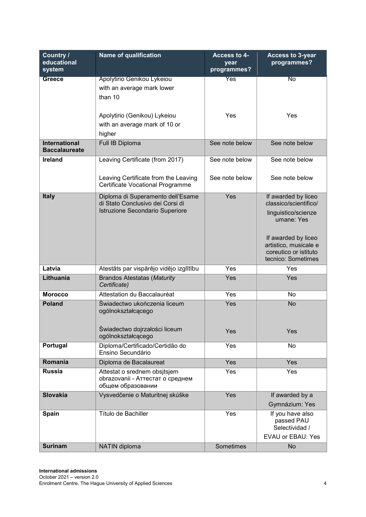| Country /<br>educational<br>system           | <b>Name of qualification</b>                                                                             | Access to 4-<br>year<br>programmes? | <b>Access to 3-year</b><br>programmes?                                                                                                                                           |
|----------------------------------------------|----------------------------------------------------------------------------------------------------------|-------------------------------------|----------------------------------------------------------------------------------------------------------------------------------------------------------------------------------|
| <b>Greece</b>                                | Apolytirio Genikou Lykeiou<br>with an average mark lower<br>than 10                                      | Yes                                 | $\overline{\text{No}}$                                                                                                                                                           |
|                                              | Apolytirio (Genikou) Lykeiou<br>with an average mark of 10 or<br>higher                                  | Yes                                 | Yes                                                                                                                                                                              |
| <b>International</b><br><b>Baccalaureate</b> | Full IB Diploma                                                                                          | See note below                      | See note below                                                                                                                                                                   |
| Ireland                                      | Leaving Certificate (from 2017)                                                                          | See note below                      | See note below                                                                                                                                                                   |
|                                              | Leaving Certificate from the Leaving<br>Certificate Vocational Programme                                 | See note below                      | See note below                                                                                                                                                                   |
| <b>Italy</b>                                 | Diploma di Superamento dell'Esame<br>di Stato Conclusivo dei Corsi di<br>Istruzione Secondario Superiore | Yes                                 | If awarded by liceo<br>classico/scientifico/<br>linguistico/scienze<br>umane: Yes<br>If awarded by liceo<br>artistico, musicale e<br>coreutico or istituto<br>tecnico: Sometimes |
| Latvia                                       | Atestāts par vispārējo vidējo izglītību                                                                  | Yes                                 | Yes                                                                                                                                                                              |
| Lithuania                                    | <b>Brandos Atestatas (Maturity</b><br>Certificate)                                                       | Yes                                 | Yes                                                                                                                                                                              |
| <b>Morocco</b>                               | Attestation du Baccalauréat                                                                              | Yes                                 | No                                                                                                                                                                               |
| <b>Poland</b>                                | Świadectwo ukończenia liceum<br>ogólnokształcącego<br>Świadectwo dojrzałości liceum                      | Yes                                 | <b>No</b>                                                                                                                                                                        |
|                                              | ogólnokształcącego                                                                                       | Yes                                 | Yes                                                                                                                                                                              |
| Portugal                                     | Diploma/Certificado/Certidão do<br>Ensino Secundário                                                     | Yes                                 | No                                                                                                                                                                               |
| Romania                                      | Diploma de Bacalaureat                                                                                   | Yes                                 | Yes                                                                                                                                                                              |
| <b>Russia</b>                                | Attestat o srednem obsitsjem<br>obrazovanii - Аттестат о среднем<br>общем образовании                    | Yes                                 | Yes                                                                                                                                                                              |
| <b>Slovakia</b>                              | Vysvedčenie o Maturitnej skúške                                                                          | Yes                                 | If awarded by a<br>Gymnázium: Yes                                                                                                                                                |
| Spain                                        | Título de Bachiller                                                                                      | Yes                                 | If you have also<br>passed PAU<br>Selectividad /<br><b>EVAU or EBAU: Yes</b>                                                                                                     |
| <b>Surinam</b>                               | NATIN diploma                                                                                            | Sometimes                           | <b>No</b>                                                                                                                                                                        |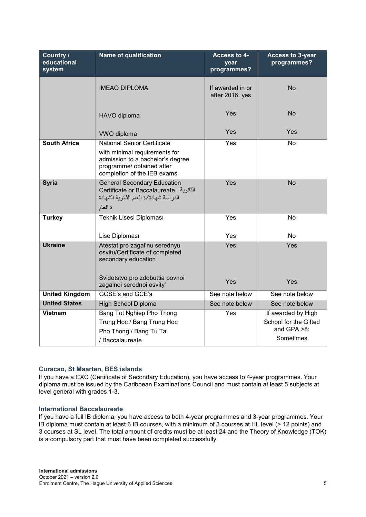| Country /<br>educational<br>system | <b>Name of qualification</b>                                                                                                                                        | Access to 4-<br>year<br>programmes? | <b>Access to 3-year</b><br>programmes?                                  |
|------------------------------------|---------------------------------------------------------------------------------------------------------------------------------------------------------------------|-------------------------------------|-------------------------------------------------------------------------|
|                                    | <b>IMEAO DIPLOMA</b>                                                                                                                                                | If awarded in or<br>after 2016: yes | <b>No</b>                                                               |
|                                    | HAVO diploma                                                                                                                                                        | Yes                                 | <b>No</b>                                                               |
|                                    | <b>VWO</b> diploma                                                                                                                                                  | Yes                                 | Yes                                                                     |
| <b>South Africa</b>                | <b>National Senior Certificate</b><br>with minimal requirements for<br>admission to a bachelor's degree<br>programme/ obtained after<br>completion of the IEB exams | Yes                                 | <b>No</b>                                                               |
| <b>Syria</b>                       | <b>General Secondary Education</b><br>Certificate or Baccalaureate الثانوية<br>الدراسة شهادة/ة العام الثانوية الشهادة<br>ة المعام                                   | Yes                                 | No                                                                      |
| <b>Turkey</b>                      | Teknik Lisesi Diploması<br>Lise Diploması                                                                                                                           | Yes<br>Yes                          | No<br>No                                                                |
| <b>Ukraine</b>                     | Atestat pro zagal'nu serednyu<br>osvitu/Certificate of completed<br>secondary education<br>Svidotstvo pro zdobuttia povnoi<br>zagalnoi serednoi osvity'             | Yes<br>Yes                          | Yes<br>Yes                                                              |
| <b>United Kingdom</b>              | <b>GCSE's and GCE's</b>                                                                                                                                             | See note below                      | See note below                                                          |
| <b>United States</b>               | <b>High School Diploma</b>                                                                                                                                          | See note below                      | See note below                                                          |
| <b>Vietnam</b>                     | Bang Tot Nghiep Pho Thong<br>Trung Hoc / Bang Trung Hoc<br>Pho Thong / Bang Tu Tai<br>/ Baccalaureate                                                               | Yes                                 | If awarded by High<br>School for the Gifted<br>and GPA >8:<br>Sometimes |

### **Curacao, St Maarten, BES islands**

If you have a CXC (Certificate of Secondary Education), you have access to 4-year programmes. Your diploma must be issued by the Caribbean Examinations Council and must contain at least 5 subjects at level general with grades 1-3.

### **International Baccalaureate**

If you have a full IB diploma, you have access to both 4-year programmes and 3-year programmes. Your IB diploma must contain at least 6 IB courses, with a minimum of 3 courses at HL level (> 12 points) and 3 courses at SL level. The total amount of credits must be at least 24 and the Theory of Knowledge (TOK) is a compulsory part that must have been completed successfully.